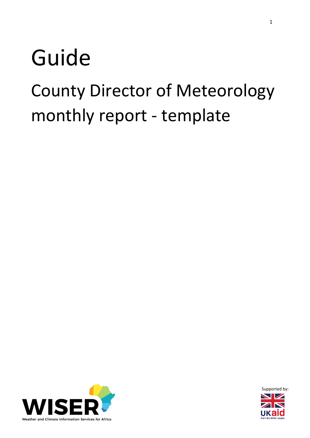# Guide

## County Director of Meteorology monthly report - template



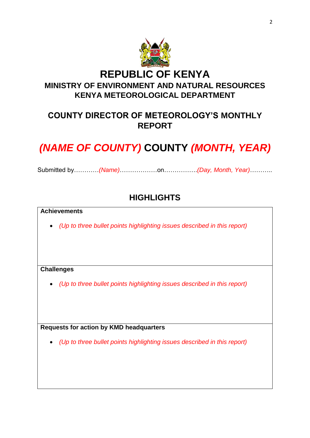

## **COUNTY DIRECTOR OF METEOROLOGY'S MONTHLY REPORT**

## *(NAME OF COUNTY)* **COUNTY** *(MONTH, YEAR)*

Submitted by…………*(Name)*………………on…………….*(Day, Month, Year)*………..

#### **HIGHLIGHTS**

#### **Achievements**

*(Up to three bullet points highlighting issues described in this report)*

#### **Challenges**

*(Up to three bullet points highlighting issues described in this report)*

**Requests for action by KMD headquarters**

*(Up to three bullet points highlighting issues described in this report)*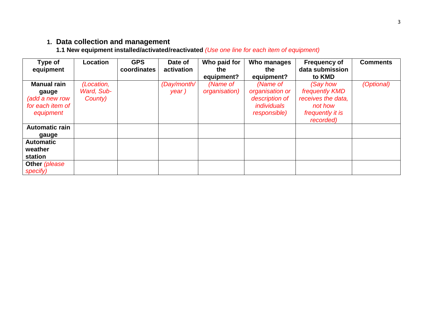## **1. Data collection and management**

**1.1 New equipment installed/activated/reactivated** *(Use one line for each item of equipment)*

| Type of<br>equipment                                                           | <b>Location</b>                     | <b>GPS</b><br>coordinates | Date of<br>activation | Who paid for<br>the<br>equipment? | Who manages<br>the<br>equipment?                                                           | <b>Frequency of</b><br>data submission<br>to KMD                                                    | <b>Comments</b> |
|--------------------------------------------------------------------------------|-------------------------------------|---------------------------|-----------------------|-----------------------------------|--------------------------------------------------------------------------------------------|-----------------------------------------------------------------------------------------------------|-----------------|
| <b>Manual rain</b><br>gauge<br>(add a new row<br>for each item of<br>equipment | (Location,<br>Ward, Sub-<br>County) |                           | (Day/month/<br>year)  | (Name of<br>organisation)         | (Name of<br>organisation or<br>description of<br><i>individuals</i><br><i>responsible)</i> | (Say how<br>frequently <b>KMD</b><br>receives the data,<br>not how<br>frequently it is<br>recorded) | (Optional)      |
| <b>Automatic rain</b><br>gauge                                                 |                                     |                           |                       |                                   |                                                                                            |                                                                                                     |                 |
| <b>Automatic</b><br>weather<br>station                                         |                                     |                           |                       |                                   |                                                                                            |                                                                                                     |                 |
| Other (please<br>specify)                                                      |                                     |                           |                       |                                   |                                                                                            |                                                                                                     |                 |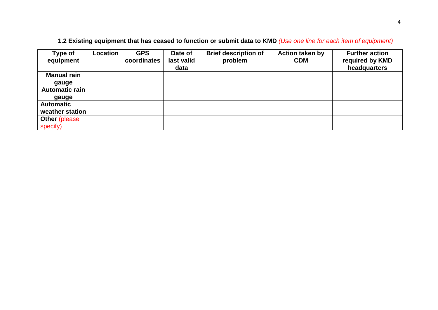| Type of               | Location | <b>GPS</b><br>coordinates | Date of<br>last valid | <b>Brief description of</b> | <b>Action taken by</b><br><b>CDM</b> | <b>Further action</b>           |
|-----------------------|----------|---------------------------|-----------------------|-----------------------------|--------------------------------------|---------------------------------|
| equipment             |          |                           | data                  | problem                     |                                      | required by KMD<br>headquarters |
| <b>Manual rain</b>    |          |                           |                       |                             |                                      |                                 |
| gauge                 |          |                           |                       |                             |                                      |                                 |
| <b>Automatic rain</b> |          |                           |                       |                             |                                      |                                 |
| gauge                 |          |                           |                       |                             |                                      |                                 |
| <b>Automatic</b>      |          |                           |                       |                             |                                      |                                 |
| weather station       |          |                           |                       |                             |                                      |                                 |
| <b>Other (please)</b> |          |                           |                       |                             |                                      |                                 |
| specify)              |          |                           |                       |                             |                                      |                                 |

#### **1.2 Existing equipment that has ceased to function or submit data to KMD** *(Use one line for each item of equipment)*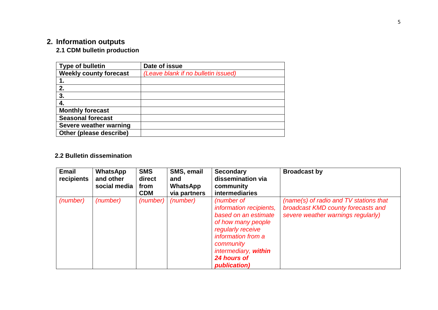## **2. Information outputs**

#### **2.1 CDM bulletin production**

| <b>Type of bulletin</b>       | Date of issue                       |
|-------------------------------|-------------------------------------|
| <b>Weekly county forecast</b> | (Leave blank if no bulletin issued) |
|                               |                                     |
| 2.                            |                                     |
| 3.                            |                                     |
|                               |                                     |
| <b>Monthly forecast</b>       |                                     |
| <b>Seasonal forecast</b>      |                                     |
| Severe weather warning        |                                     |
| Other (please describe)       |                                     |

#### **2.2 Bulletin dissemination**

| <b>Email</b><br>recipients | <b>WhatsApp</b><br>and other<br>social media | <b>SMS</b><br>direct<br>from<br><b>CDM</b> | SMS, email<br>and<br><b>WhatsApp</b><br>via partners | <b>Secondary</b><br>dissemination via<br>community<br><b>intermediaries</b>                                                                                                                        | <b>Broadcast by</b>                                                                                                |
|----------------------------|----------------------------------------------|--------------------------------------------|------------------------------------------------------|----------------------------------------------------------------------------------------------------------------------------------------------------------------------------------------------------|--------------------------------------------------------------------------------------------------------------------|
| (number)                   | (number)                                     | (number)                                   | (number)                                             | (number of<br>information recipients,<br>based on an estimate<br>of how many people<br>regularly receive<br>information from a<br>community<br>intermediary, within<br>24 hours of<br>publication) | (name(s) of radio and TV stations that<br>broadcast KMD county forecasts and<br>severe weather warnings regularly) |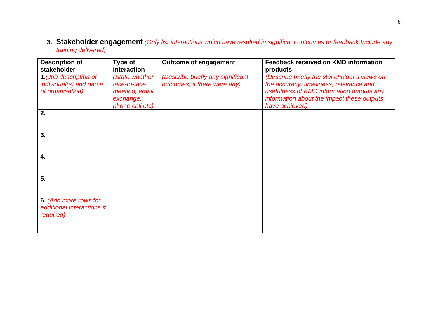**3. Stakeholder engagement** *(Only list interactions which have resulted in significant outcomes or feedback.Include any training delivered)*

| <b>Description of</b><br>stakeholder                                | <b>Type of</b><br>interaction                                                    | <b>Outcome of engagement</b>                                      | <b>Feedback received on KMD information</b><br>products                                                                                                                                              |
|---------------------------------------------------------------------|----------------------------------------------------------------------------------|-------------------------------------------------------------------|------------------------------------------------------------------------------------------------------------------------------------------------------------------------------------------------------|
| 1 (Job description of<br>individual(s) and name<br>of organisation) | (State whether<br>face-to-face<br>meeting, email<br>exchange,<br>phone call etc) | (Describe briefly any significant<br>outcomes, if there were any) | (Describe briefly the stakeholder's views on<br>the accuracy, timeliness, relevance and<br>usefulness of KMD information outputs any<br>information about the impact these outputs<br>have achieved) |
| 2.                                                                  |                                                                                  |                                                                   |                                                                                                                                                                                                      |
| 3.                                                                  |                                                                                  |                                                                   |                                                                                                                                                                                                      |
| 4.                                                                  |                                                                                  |                                                                   |                                                                                                                                                                                                      |
| 5.                                                                  |                                                                                  |                                                                   |                                                                                                                                                                                                      |
| 6. (Add more rows for<br>additional interactions if<br>required)    |                                                                                  |                                                                   |                                                                                                                                                                                                      |